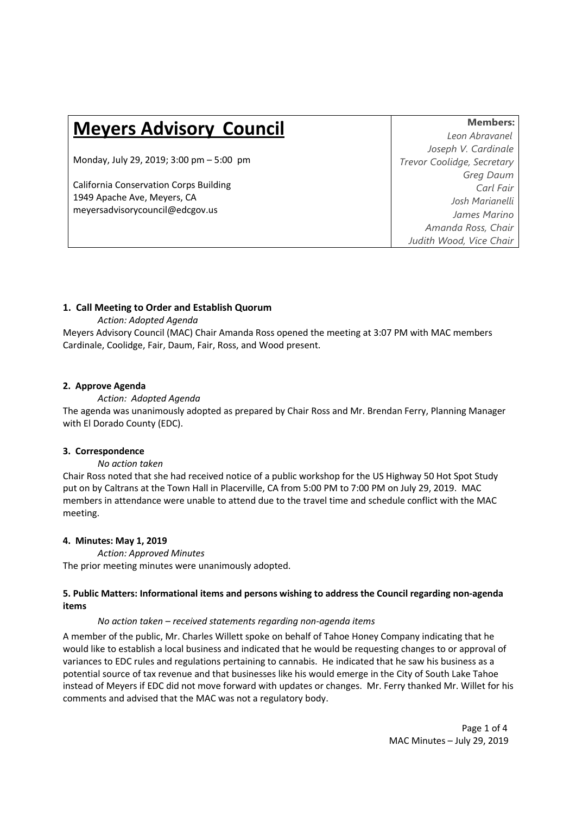# **Meyers Advisory Council Members:**

Monday, July 29, 2019; 3:00 pm – 5:00 pm *Trevor Coolidge, Secretary*

California Conservation Corps Building 1949 Apache Ave, Meyers, CA [meyersadvisorycouncil@edcgov.us](mailto:meyersadvisorycouncil@edcgov.us) 

*Leon Abravanel Joseph V. Cardinale Greg Daum Carl Fair Josh Marianelli James Marino Amanda Ross, Chair Judith Wood, Vice Chair*

## **1. Call Meeting to Order and Establish Quorum**

*Action: Adopted Agenda*

Meyers Advisory Council (MAC) Chair Amanda Ross opened the meeting at 3:07 PM with MAC members Cardinale, Coolidge, Fair, Daum, Fair, Ross, and Wood present.

## **2. Approve Agenda**

## *Action: Adopted Agenda*

The agenda was unanimously adopted as prepared by Chair Ross and Mr. Brendan Ferry, Planning Manager with El Dorado County (EDC).

## **3. Correspondence**

## *No action taken*

Chair Ross noted that she had received notice of a public workshop for the US Highway 50 Hot Spot Study put on by Caltrans at the Town Hall in Placerville, CA from 5:00 PM to 7:00 PM on July 29, 2019. MAC members in attendance were unable to attend due to the travel time and schedule conflict with the MAC meeting.

## **4. Minutes: May 1, 2019**

*Action: Approved Minutes*  The prior meeting minutes were unanimously adopted.

## **5. Public Matters: Informational items and persons wishing to address the Council regarding non-agenda items**

## *No action taken – received statements regarding non-agenda items*

A member of the public, Mr. Charles Willett spoke on behalf of Tahoe Honey Company indicating that he would like to establish a local business and indicated that he would be requesting changes to or approval of variances to EDC rules and regulations pertaining to cannabis. He indicated that he saw his business as a potential source of tax revenue and that businesses like his would emerge in the City of South Lake Tahoe instead of Meyers if EDC did not move forward with updates or changes. Mr. Ferry thanked Mr. Willet for his comments and advised that the MAC was not a regulatory body.

> Page 1 of 4 MAC Minutes – July 29, 2019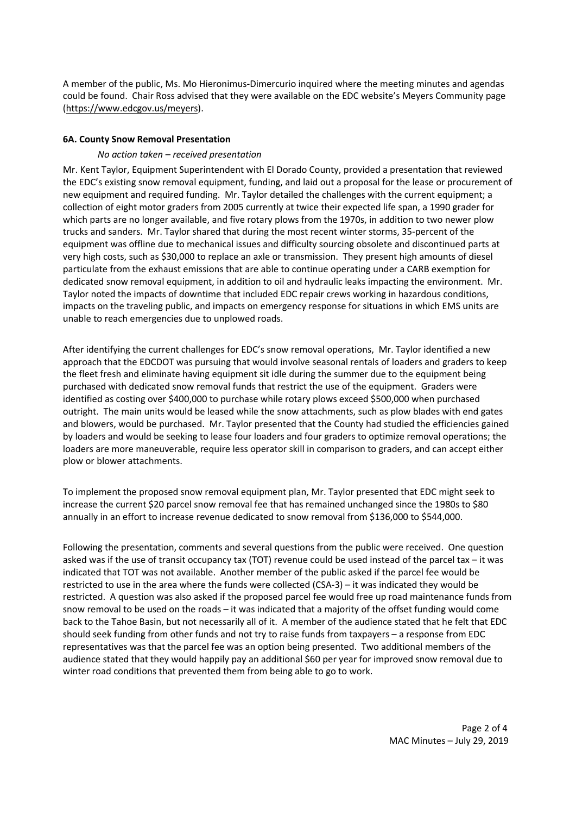A member of the public, Ms. Mo Hieronimus-Dimercurio inquired where the meeting minutes and agendas could be found. Chair Ross advised that they were available on the EDC website's Meyers Community page [\(https://www.edcgov.us/meyers\)](https://www.edcgov.us/meyers).

#### **6A. County Snow Removal Presentation**

## *No action taken – received presentation*

Mr. Kent Taylor, Equipment Superintendent with El Dorado County, provided a presentation that reviewed the EDC's existing snow removal equipment, funding, and laid out a proposal for the lease or procurement of new equipment and required funding. Mr. Taylor detailed the challenges with the current equipment; a collection of eight motor graders from 2005 currently at twice their expected life span, a 1990 grader for which parts are no longer available, and five rotary plows from the 1970s, in addition to two newer plow trucks and sanders. Mr. Taylor shared that during the most recent winter storms, 35-percent of the equipment was offline due to mechanical issues and difficulty sourcing obsolete and discontinued parts at very high costs, such as \$30,000 to replace an axle or transmission. They present high amounts of diesel particulate from the exhaust emissions that are able to continue operating under a CARB exemption for dedicated snow removal equipment, in addition to oil and hydraulic leaks impacting the environment. Mr. Taylor noted the impacts of downtime that included EDC repair crews working in hazardous conditions, impacts on the traveling public, and impacts on emergency response for situations in which EMS units are unable to reach emergencies due to unplowed roads.

After identifying the current challenges for EDC's snow removal operations, Mr. Taylor identified a new approach that the EDCDOT was pursuing that would involve seasonal rentals of loaders and graders to keep the fleet fresh and eliminate having equipment sit idle during the summer due to the equipment being purchased with dedicated snow removal funds that restrict the use of the equipment. Graders were identified as costing over \$400,000 to purchase while rotary plows exceed \$500,000 when purchased outright. The main units would be leased while the snow attachments, such as plow blades with end gates and blowers, would be purchased. Mr. Taylor presented that the County had studied the efficiencies gained by loaders and would be seeking to lease four loaders and four graders to optimize removal operations; the loaders are more maneuverable, require less operator skill in comparison to graders, and can accept either plow or blower attachments.

To implement the proposed snow removal equipment plan, Mr. Taylor presented that EDC might seek to increase the current \$20 parcel snow removal fee that has remained unchanged since the 1980s to \$80 annually in an effort to increase revenue dedicated to snow removal from \$136,000 to \$544,000.

Following the presentation, comments and several questions from the public were received. One question asked was if the use of transit occupancy tax (TOT) revenue could be used instead of the parcel tax – it was indicated that TOT was not available. Another member of the public asked if the parcel fee would be restricted to use in the area where the funds were collected (CSA-3) – it was indicated they would be restricted. A question was also asked if the proposed parcel fee would free up road maintenance funds from snow removal to be used on the roads – it was indicated that a majority of the offset funding would come back to the Tahoe Basin, but not necessarily all of it. A member of the audience stated that he felt that EDC should seek funding from other funds and not try to raise funds from taxpayers – a response from EDC representatives was that the parcel fee was an option being presented. Two additional members of the audience stated that they would happily pay an additional \$60 per year for improved snow removal due to winter road conditions that prevented them from being able to go to work.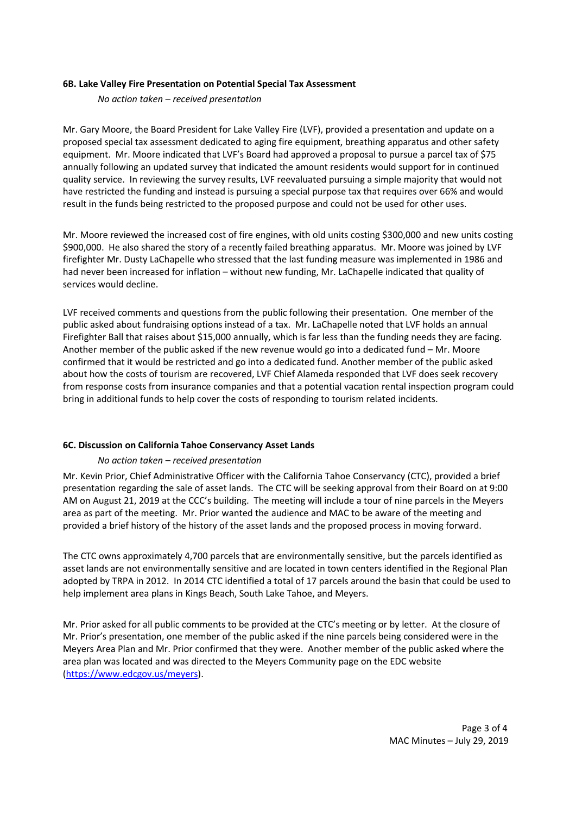#### **6B. Lake Valley Fire Presentation on Potential Special Tax Assessment**

*No action taken – received presentation* 

Mr. Gary Moore, the Board President for Lake Valley Fire (LVF), provided a presentation and update on a proposed special tax assessment dedicated to aging fire equipment, breathing apparatus and other safety equipment. Mr. Moore indicated that LVF's Board had approved a proposal to pursue a parcel tax of \$75 annually following an updated survey that indicated the amount residents would support for in continued quality service. In reviewing the survey results, LVF reevaluated pursuing a simple majority that would not have restricted the funding and instead is pursuing a special purpose tax that requires over 66% and would result in the funds being restricted to the proposed purpose and could not be used for other uses.

Mr. Moore reviewed the increased cost of fire engines, with old units costing \$300,000 and new units costing \$900,000. He also shared the story of a recently failed breathing apparatus. Mr. Moore was joined by LVF firefighter Mr. Dusty LaChapelle who stressed that the last funding measure was implemented in 1986 and had never been increased for inflation – without new funding, Mr. LaChapelle indicated that quality of services would decline.

LVF received comments and questions from the public following their presentation. One member of the public asked about fundraising options instead of a tax. Mr. LaChapelle noted that LVF holds an annual Firefighter Ball that raises about \$15,000 annually, which is far less than the funding needs they are facing. Another member of the public asked if the new revenue would go into a dedicated fund – Mr. Moore confirmed that it would be restricted and go into a dedicated fund. Another member of the public asked about how the costs of tourism are recovered, LVF Chief Alameda responded that LVF does seek recovery from response costs from insurance companies and that a potential vacation rental inspection program could bring in additional funds to help cover the costs of responding to tourism related incidents.

## **6C. Discussion on California Tahoe Conservancy Asset Lands**

## *No action taken – received presentation*

Mr. Kevin Prior, Chief Administrative Officer with the California Tahoe Conservancy (CTC), provided a brief presentation regarding the sale of asset lands. The CTC will be seeking approval from their Board on at 9:00 AM on August 21, 2019 at the CCC's building. The meeting will include a tour of nine parcels in the Meyers area as part of the meeting. Mr. Prior wanted the audience and MAC to be aware of the meeting and provided a brief history of the history of the asset lands and the proposed process in moving forward.

The CTC owns approximately 4,700 parcels that are environmentally sensitive, but the parcels identified as asset lands are not environmentally sensitive and are located in town centers identified in the Regional Plan adopted by TRPA in 2012. In 2014 CTC identified a total of 17 parcels around the basin that could be used to help implement area plans in Kings Beach, South Lake Tahoe, and Meyers.

Mr. Prior asked for all public comments to be provided at the CTC's meeting or by letter. At the closure of Mr. Prior's presentation, one member of the public asked if the nine parcels being considered were in the Meyers Area Plan and Mr. Prior confirmed that they were. Another member of the public asked where the area plan was located and was directed to the Meyers Community page on the EDC website [\(https://www.edcgov.us/meyers\)](https://www.edcgov.us/meyers).